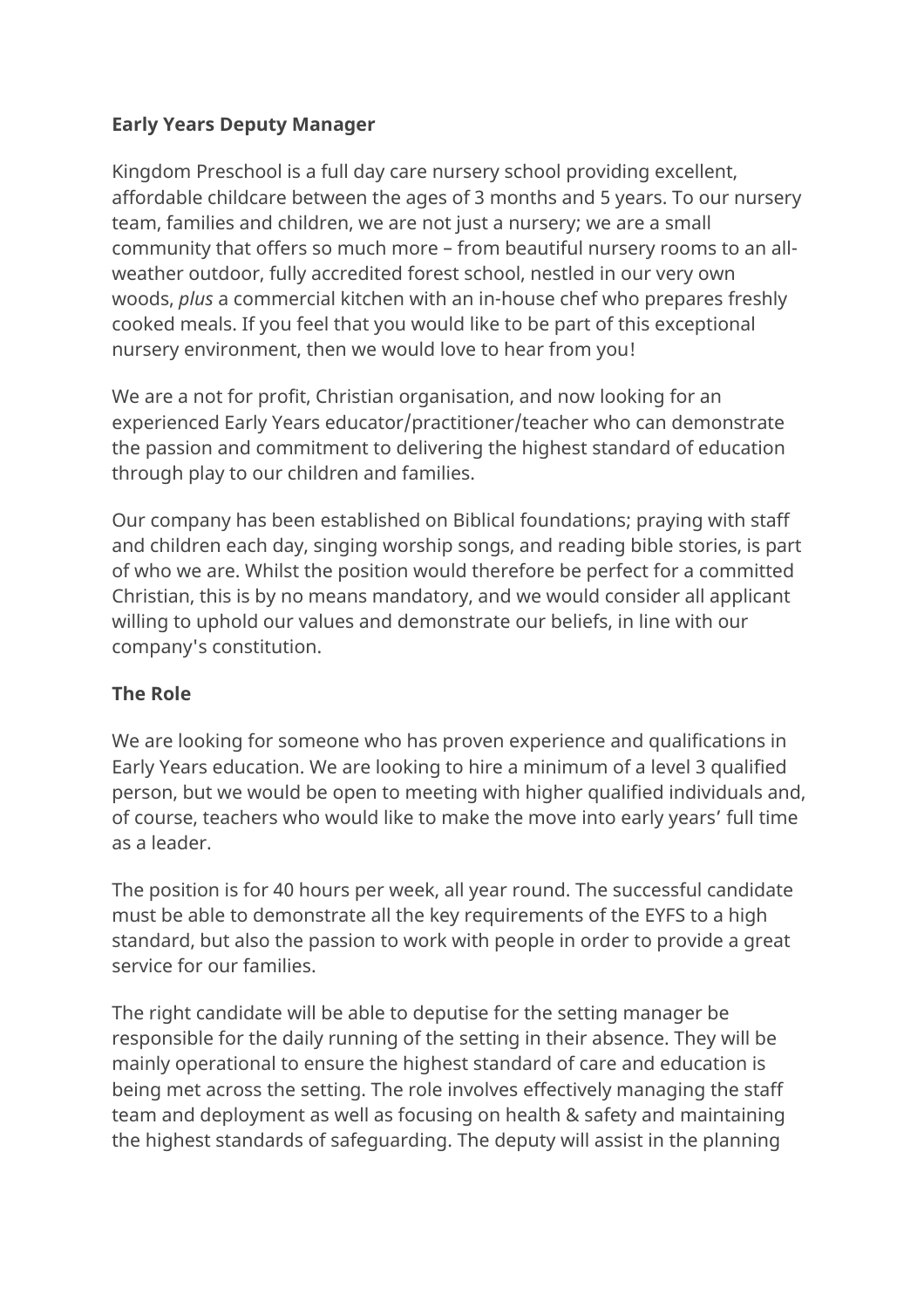## **Early Years Deputy Manager**

Kingdom Preschool is a full day care nursery school providing excellent, affordable childcare between the ages of 3 months and 5 years. To our nursery team, families and children, we are not just a nursery; we are a small community that offers so much more – from beautiful nursery rooms to an allweather outdoor, fully accredited forest school, nestled in our very own woods, *plus* a commercial kitchen with an in-house chef who prepares freshly cooked meals. If you feel that you would like to be part of this exceptional nursery environment, then we would love to hear from you!

We are a not for profit, Christian organisation, and now looking for an experienced Early Years educator/practitioner/teacher who can demonstrate the passion and commitment to delivering the highest standard of education through play to our children and families.

Our company has been established on Biblical foundations; praying with staff and children each day, singing worship songs, and reading bible stories, is part of who we are. Whilst the position would therefore be perfect for a committed Christian, this is by no means mandatory, and we would consider all applicant willing to uphold our values and demonstrate our beliefs, in line with our company's constitution.

## **The Role**

We are looking for someone who has proven experience and qualifications in Early Years education. We are looking to hire a minimum of a level 3 qualified person, but we would be open to meeting with higher qualified individuals and, of course, teachers who would like to make the move into early years' full time as a leader.

The position is for 40 hours per week, all year round. The successful candidate must be able to demonstrate all the key requirements of the EYFS to a high standard, but also the passion to work with people in order to provide a great service for our families.

The right candidate will be able to deputise for the setting manager be responsible for the daily running of the setting in their absence. They will be mainly operational to ensure the highest standard of care and education is being met across the setting. The role involves effectively managing the staff team and deployment as well as focusing on health & safety and maintaining the highest standards of safeguarding. The deputy will assist in the planning